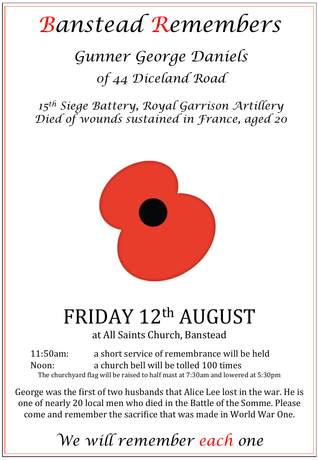## *Banstead Remembers*

## *Gunner George Daniels 0f 44 Diceland Road*

*15th Siege Battery, Royal Garrison Artillery Died of wounds sustained in France, aged 20* 



## FRIDAY 12th AUGUST

at All Saints Church, Banstead

11:50am: a short service of remembrance will be held Noon: a church bell will be tolled 100 times The churchyard flag will be raised to half mast at 7:30am and lowered at 5:30pm

George was the first of two husbands that Alice Lee lost in the war. He is one of nearly 20 local men who died in the Battle of the Somme. Please come and remember the sacrifice that was made in World War One.

*We will remember each one*